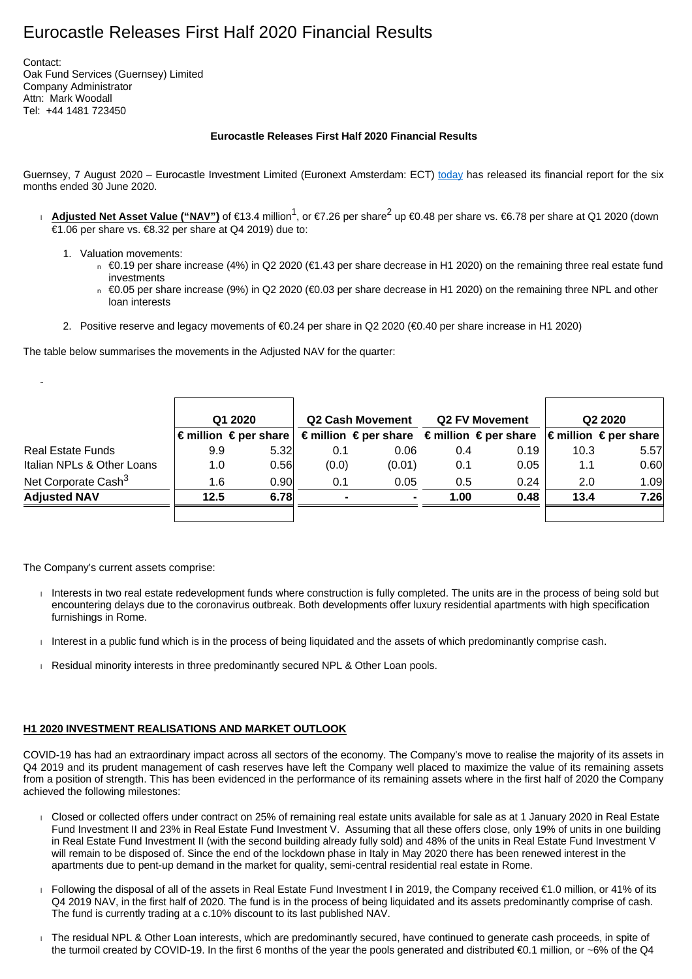# Eurocastle Releases First Half 2020 Financial Results

Contact: Oak Fund Services (Guernsey) Limited Company Administrator Attn: Mark Woodall Tel: +44 1481 723450

#### **Eurocastle Releases First Half 2020 Financial Results**

Guernsey, 7 August 2020 – Eurocastle Investment Limited (Euronext Amsterdam: ECT) [today](http://today/) has released its financial report for the six months ended 30 June 2020.

- **Adjusted Net Asset Value ("NAV")** of €13.4 million<sup>1</sup>, or €7.26 per share<sup>2</sup> up €0.48 per share vs. <del>€</del>6.78 per share at Q1 2020 (down €1.06 per share vs. €8.32 per share at Q4 2019) due to:
	- 1. Valuation movements:
		- $\Box$  €0.19 per share increase (4%) in Q2 2020 (€1.43 per share decrease in H1 2020) on the remaining three real estate fund investments
		- $\Box$  €0.05 per share increase (9%) in Q2 2020 (€0.03 per share decrease in H1 2020) on the remaining three NPL and other loan interests
	- 2. Positive reserve and legacy movements of €0.24 per share in Q2 2020 (€0.40 per share increase in H1 2020)

The table below summarises the movements in the Adjusted NAV for the quarter:

|                                 | Q1 2020 |                                         | <b>Q2 Cash Movement</b> |                                                                                 | <b>Q2 FV Movement</b> |      | Q <sub>2</sub> 2020 |                                      |
|---------------------------------|---------|-----------------------------------------|-------------------------|---------------------------------------------------------------------------------|-----------------------|------|---------------------|--------------------------------------|
|                                 |         | $\epsilon$ million $\epsilon$ per share |                         | $\epsilon$ million $\epsilon$ per share $\epsilon$ million $\epsilon$ per share |                       |      |                     | $\in$ million $\in$ per share $\mid$ |
| <b>Real Estate Funds</b>        | 9.9     | 5.32                                    | 0.1                     | 0.06                                                                            | 0.4                   | 0.19 | 10.3                | 5.57                                 |
| Italian NPLs & Other Loans      | 1.0     | 0.56                                    | (0.0)                   | (0.01)                                                                          | 0.1                   | 0.05 | 1.1                 | 0.60                                 |
| Net Corporate Cash <sup>3</sup> | 1.6     | 0.90 <sub>1</sub>                       | 0.1                     | 0.05                                                                            | 0.5                   | 0.24 | 2.0                 | 1.09                                 |
| <b>Adjusted NAV</b>             | 12.5    | 6.78                                    | $\blacksquare$          | ۰                                                                               | 1.00                  | 0.48 | 13.4                | 7.26                                 |
|                                 |         |                                         |                         |                                                                                 |                       |      |                     |                                      |

The Company's current assets comprise:

- Interests in two real estate redevelopment funds where construction is fully completed. The units are in the process of being sold but encountering delays due to the coronavirus outbreak. Both developments offer luxury residential apartments with high specification furnishings in Rome.
- Interest in a public fund which is in the process of being liquidated and the assets of which predominantly comprise cash.
- Residual minority interests in three predominantly secured NPL & Other Loan pools.

## **H1 2020 INVESTMENT REALISATIONS AND MARKET OUTLOOK**

COVID-19 has had an extraordinary impact across all sectors of the economy. The Company's move to realise the majority of its assets in Q4 2019 and its prudent management of cash reserves have left the Company well placed to maximize the value of its remaining assets from a position of strength. This has been evidenced in the performance of its remaining assets where in the first half of 2020 the Company achieved the following milestones:

- Closed or collected offers under contract on 25% of remaining real estate units available for sale as at 1 January 2020 in Real Estate Fund Investment II and 23% in Real Estate Fund Investment V. Assuming that all these offers close, only 19% of units in one building in Real Estate Fund Investment II (with the second building already fully sold) and 48% of the units in Real Estate Fund Investment V will remain to be disposed of. Since the end of the lockdown phase in Italy in May 2020 there has been renewed interest in the apartments due to pent-up demand in the market for quality, semi-central residential real estate in Rome.
- Following the disposal of all of the assets in Real Estate Fund Investment I in 2019, the Company received €1.0 million, or 41% of its Q4 2019 NAV, in the first half of 2020. The fund is in the process of being liquidated and its assets predominantly comprise of cash. The fund is currently trading at a c.10% discount to its last published NAV.
- The residual NPL & Other Loan interests, which are predominantly secured, have continued to generate cash proceeds, in spite of the turmoil created by COVID-19. In the first 6 months of the year the pools generated and distributed €0.1 million, or ~6% of the Q4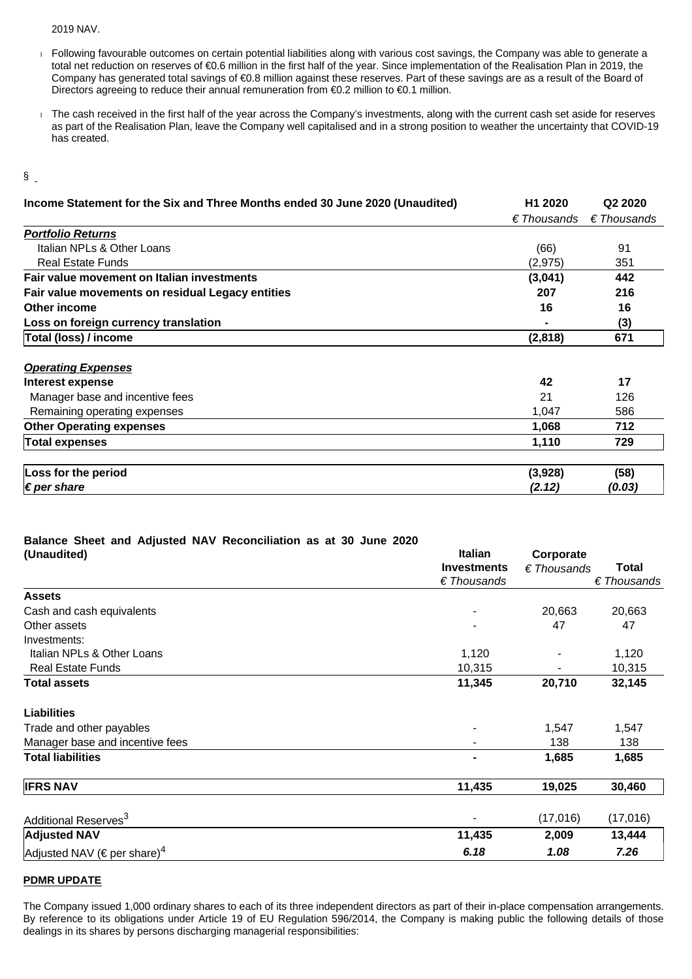#### 2019 NAV.

- Following favourable outcomes on certain potential liabilities along with various cost savings, the Company was able to generate a total net reduction on reserves of €0.6 million in the first half of the year. Since implementation of the Realisation Plan in 2019, the Company has generated total savings of €0.8 million against these reserves. Part of these savings are as a result of the Board of Directors agreeing to reduce their annual remuneration from €0.2 million to €0.1 million.
- The cash received in the first half of the year across the Company's investments, along with the current cash set aside for reserves as part of the Realisation Plan, leave the Company well capitalised and in a strong position to weather the uncertainty that COVID-19 has created.

#### §

| Income Statement for the Six and Three Months ended 30 June 2020 (Unaudited) | H <sub>1</sub> 2020  | Q <sub>2</sub> 2020  |  |
|------------------------------------------------------------------------------|----------------------|----------------------|--|
|                                                                              | $\epsilon$ Thousands | $\epsilon$ Thousands |  |
| <b>Portfolio Returns</b>                                                     |                      |                      |  |
| Italian NPLs & Other Loans                                                   | (66)                 | 91                   |  |
| <b>Real Estate Funds</b>                                                     | (2, 975)             | 351                  |  |
| Fair value movement on Italian investments                                   | (3,041)              | 442                  |  |
| Fair value movements on residual Legacy entities                             | 207                  | 216                  |  |
| Other income                                                                 | 16                   | 16                   |  |
| Loss on foreign currency translation                                         |                      | (3)                  |  |
| Total (loss) / income                                                        | (2,818)              | 671                  |  |
| <b>Operating Expenses</b>                                                    |                      |                      |  |
| Interest expense                                                             | 42                   | 17                   |  |
| Manager base and incentive fees                                              | 21                   | 126                  |  |
| Remaining operating expenses                                                 | 1,047                | 586                  |  |
| <b>Other Operating expenses</b>                                              | 1,068                | 712                  |  |
| Total expenses                                                               | 1,110                | 729                  |  |
| Loss for the period                                                          | (3,928)              | (58)                 |  |
| $\notin$ per share                                                           | (2.12)               | (0.03)               |  |

### **Balance Sheet and Adjusted NAV Reconciliation as at 30 June 2020**

| (Unaudited)                                  | <b>Italian</b>           | Corporate            |                      |  |
|----------------------------------------------|--------------------------|----------------------|----------------------|--|
|                                              | <b>Investments</b>       | $\epsilon$ Thousands | <b>Total</b>         |  |
|                                              | $E$ Thousands            |                      | $\epsilon$ Thousands |  |
| <b>Assets</b>                                |                          |                      |                      |  |
| Cash and cash equivalents                    | $\blacksquare$           | 20,663               | 20,663               |  |
| Other assets                                 |                          | 47                   | 47                   |  |
| Investments:                                 |                          |                      |                      |  |
| Italian NPLs & Other Loans                   | 1,120                    |                      | 1,120                |  |
| <b>Real Estate Funds</b>                     | 10,315                   |                      | 10,315               |  |
| <b>Total assets</b>                          | 11,345                   | 20,710               | 32,145               |  |
| <b>Liabilities</b>                           |                          |                      |                      |  |
| Trade and other payables                     | $\overline{\phantom{0}}$ | 1,547                | 1,547                |  |
| Manager base and incentive fees              |                          | 138                  | 138                  |  |
| <b>Total liabilities</b>                     |                          | 1,685                | 1,685                |  |
| <b>IFRS NAV</b>                              | 11,435                   | 19,025               | 30,460               |  |
| Additional Reserves <sup>3</sup>             | $\overline{\phantom{0}}$ | (17,016)             | (17,016)             |  |
| <b>Adjusted NAV</b>                          | 11,435                   | 2,009                | 13,444               |  |
| Adjusted NAV ( $\in$ per share) <sup>4</sup> | 6.18                     | 1.08                 | 7.26                 |  |

#### **PDMR UPDATE**

The Company issued 1,000 ordinary shares to each of its three independent directors as part of their in-place compensation arrangements. By reference to its obligations under Article 19 of EU Regulation 596/2014, the Company is making public the following details of those dealings in its shares by persons discharging managerial responsibilities: